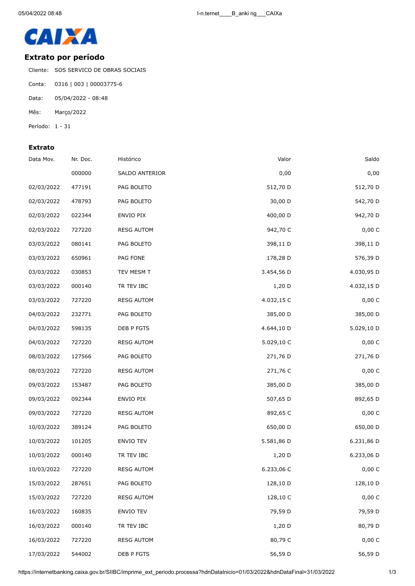

## **Extrato por período**

Cliente: SOS SERVICO DE OBRAS SOCIAIS

- Conta: 0316 | 003 | 00003775-6
- Data: 05/04/2022 08:48
- Mês: Março/2022
- Período: 1 31

## **Extrato**

| Saldo      | Valor      | Histórico         | Nr. Doc. | Data Mov.  |
|------------|------------|-------------------|----------|------------|
| 0,00       | 0,00       | SALDO ANTERIOR    | 000000   |            |
| 512,70 D   | 512,70 D   | PAG BOLETO        | 477191   | 02/03/2022 |
| 542,70 D   | 30,00 D    | PAG BOLETO        | 478793   | 02/03/2022 |
| 942,70 D   | 400,00 D   | ENVIO PIX         | 022344   | 02/03/2022 |
| 0,00 C     | 942,70 C   | <b>RESG AUTOM</b> | 727220   | 02/03/2022 |
| 398,11 D   | 398,11 D   | PAG BOLETO        | 080141   | 03/03/2022 |
| 576,39 D   | 178,28 D   | PAG FONE          | 650961   | 03/03/2022 |
| 4.030,95 D | 3.454,56 D | TEV MESM T        | 030853   | 03/03/2022 |
| 4.032,15 D | $1,20$ D   | TR TEV IBC        | 000140   | 03/03/2022 |
| 0,00 C     | 4.032,15 C | <b>RESG AUTOM</b> | 727220   | 03/03/2022 |
| 385,00 D   | 385,00 D   | PAG BOLETO        | 232771   | 04/03/2022 |
| 5.029,10 D | 4.644,10 D | DEB P FGTS        | 598135   | 04/03/2022 |
| 0,00 C     | 5.029,10 C | <b>RESG AUTOM</b> | 727220   | 04/03/2022 |
| 271,76 D   | 271,76 D   | PAG BOLETO        | 127566   | 08/03/2022 |
| 0,00 C     | 271,76 C   | <b>RESG AUTOM</b> | 727220   | 08/03/2022 |
| 385,00 D   | 385,00 D   | PAG BOLETO        | 153487   | 09/03/2022 |
| 892,65 D   | 507,65 D   | ENVIO PIX         | 092344   | 09/03/2022 |
| 0,00 C     | 892,65 C   | <b>RESG AUTOM</b> | 727220   | 09/03/2022 |
| 650,00 D   | 650,00 D   | PAG BOLETO        | 389124   | 10/03/2022 |
| 6.231,86 D | 5.581,86 D | ENVIO TEV         | 101205   | 10/03/2022 |
| 6.233,06 D | $1,20$ D   | TR TEV IBC        | 000140   | 10/03/2022 |
| 0,00 C     | 6.233,06 C | <b>RESG AUTOM</b> | 727220   | 10/03/2022 |
| 128,10 D   | 128,10 D   | PAG BOLETO        | 287651   | 15/03/2022 |
| 0,00 C     | 128,10 C   | <b>RESG AUTOM</b> | 727220   | 15/03/2022 |
| 79,59 D    | 79,59 D    | ENVIO TEV         | 160835   | 16/03/2022 |
| 80,79 D    | $1,20$ D   | TR TEV IBC        | 000140   | 16/03/2022 |
| 0,00 C     | 80,79 C    | <b>RESG AUTOM</b> | 727220   | 16/03/2022 |
| 56,59 D    | 56,59 D    | DEB P FGTS        | 544002   | 17/03/2022 |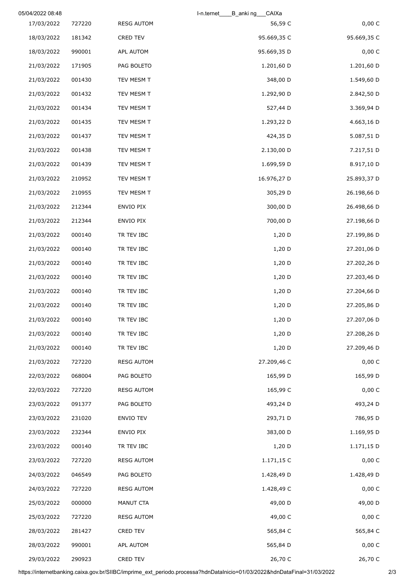|             | _CAIXa<br>I-n.ternet<br>B anking |                   |        | 05/04/2022 08:48 |
|-------------|----------------------------------|-------------------|--------|------------------|
| 0,00 C      | 56,59 C                          | <b>RESG AUTOM</b> | 727220 | 17/03/2022       |
| 95.669,35 C | 95.669,35 C                      | CRED TEV          | 181342 | 18/03/2022       |
| 0,00 C      | 95.669,35 D                      | APL AUTOM         | 990001 | 18/03/2022       |
| 1.201,60 D  | 1.201,60 D                       | PAG BOLETO        | 171905 | 21/03/2022       |
| 1.549,60 D  | 348,00 D                         | TEV MESM T        | 001430 | 21/03/2022       |
| 2.842,50 D  | 1.292,90 D                       | TEV MESM T        | 001432 | 21/03/2022       |
| 3.369,94 D  | 527,44 D                         | TEV MESM T        | 001434 | 21/03/2022       |
| 4.663,16 D  | 1.293,22 D                       | TEV MESM T        | 001435 | 21/03/2022       |
| 5.087,51 D  | 424,35 D                         | TEV MESM T        | 001437 | 21/03/2022       |
| 7.217,51 D  | 2.130,00 D                       | TEV MESM T        | 001438 | 21/03/2022       |
| 8.917,10 D  | 1.699,59 D                       | TEV MESM T        | 001439 | 21/03/2022       |
| 25.893,37 D | 16.976,27 D                      | TEV MESM T        | 210952 | 21/03/2022       |
| 26.198,66 D | 305,29 D                         | TEV MESM T        | 210955 | 21/03/2022       |
| 26.498,66 D | 300,00 D                         | ENVIO PIX         | 212344 | 21/03/2022       |
| 27.198,66 D | 700,00 D                         | ENVIO PIX         | 212344 | 21/03/2022       |
| 27.199,86 D | $1,20$ D                         | TR TEV IBC        | 000140 | 21/03/2022       |
| 27.201,06 D | 1,20 D                           | TR TEV IBC        | 000140 | 21/03/2022       |
| 27.202,26 D | 1,20 D                           | TR TEV IBC        | 000140 | 21/03/2022       |
| 27.203,46 D | 1,20 D                           | TR TEV IBC        | 000140 | 21/03/2022       |
| 27.204,66 D | $1,20$ D                         | TR TEV IBC        | 000140 | 21/03/2022       |
| 27.205,86 D | 1,20 D                           | TR TEV IBC        | 000140 | 21/03/2022       |
| 27.207,06 D | 1,20 D                           | TR TEV IBC        | 000140 | 21/03/2022       |
| 27.208,26 D | 1,20 D                           | TR TEV IBC        | 000140 | 21/03/2022       |
| 27.209,46 D | $1,20$ D                         | TR TEV IBC        | 000140 | 21/03/2022       |
| 0,00 C      | 27.209,46 C                      | <b>RESG AUTOM</b> | 727220 | 21/03/2022       |
| 165,99 D    | 165,99 D                         | PAG BOLETO        | 068004 | 22/03/2022       |
| 0,00C       | 165,99 C                         | <b>RESG AUTOM</b> | 727220 | 22/03/2022       |
| 493,24 D    | 493,24 D                         | PAG BOLETO        | 091377 | 23/03/2022       |
| 786,95 D    | 293,71 D                         | ENVIO TEV         | 231020 | 23/03/2022       |
| 1.169,95 D  | 383,00 D                         | ENVIO PIX         | 232344 | 23/03/2022       |
| 1.171,15 D  | $1,20$ D                         | TR TEV IBC        | 000140 | 23/03/2022       |
| 0,00 C      | 1.171,15 C                       | <b>RESG AUTOM</b> | 727220 | 23/03/2022       |
| 1.428,49 D  | 1.428,49 D                       | PAG BOLETO        | 046549 | 24/03/2022       |
| 0,00 C      | 1.428,49 C                       | <b>RESG AUTOM</b> | 727220 | 24/03/2022       |
| 49,00 D     | 49,00 D                          | MANUT CTA         | 000000 | 25/03/2022       |
| 0,00 C      | 49,00 C                          | <b>RESG AUTOM</b> | 727220 | 25/03/2022       |
| 565,84 C    | 565,84 C                         | CRED TEV          | 281427 | 28/03/2022       |
| 0,00 C      | 565,84 D                         | APL AUTOM         | 990001 | 28/03/2022       |
| 26,70 C     | 26,70 C                          | CRED TEV          | 290923 | 29/03/2022       |